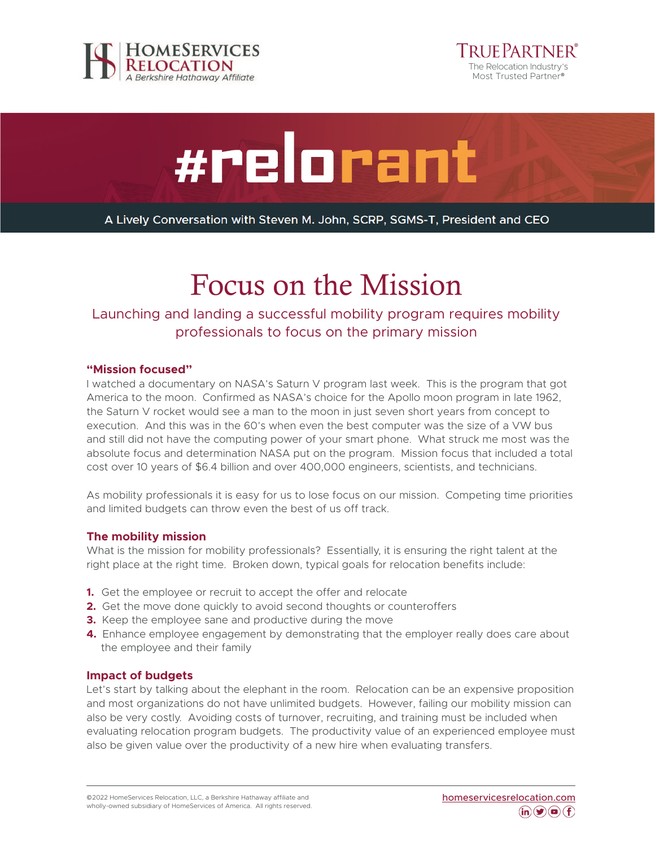





A Lively Conversation with Steven M. John, SCRP, SGMS-T, President and CEO

# Focus on the Mission

# Launching and landing a successful mobility program requires mobility professionals to focus on the primary mission

### **"Mission focused"**

I watched a documentary on NASA's Saturn V program last week. This is the program that got America to the moon. Confirmed as NASA's choice for the Apollo moon program in late 1962, the Saturn V rocket would see a man to the moon in just seven short years from concept to execution. And this was in the 60's when even the best computer was the size of a VW bus and still did not have the computing power of your smart phone. What struck me most was the absolute focus and determination NASA put on the program. Mission focus that included a total cost over 10 years of \$6.4 billion and over 400,000 engineers, scientists, and technicians.

As mobility professionals it is easy for us to lose focus on our mission. Competing time priorities and limited budgets can throw even the best of us off track.

#### **The mobility mission**

What is the mission for mobility professionals? Essentially, it is ensuring the right talent at the right place at the right time. Broken down, typical goals for relocation benefits include:

- **1.** Get the employee or recruit to accept the offer and relocate
- **2.** Get the move done quickly to avoid second thoughts or counteroffers
- **3.** Keep the employee sane and productive during the move
- **4.** Enhance employee engagement by demonstrating that the employer really does care about the employee and their family

#### **Impact of budgets**

Let's start by talking about the elephant in the room. Relocation can be an expensive proposition and most organizations do not have unlimited budgets. However, failing our mobility mission can also be very costly. Avoiding costs of turnover, recruiting, and training must be included when evaluating relocation program budgets. The productivity value of an experienced employee must also be given value over the productivity of a new hire when evaluating transfers.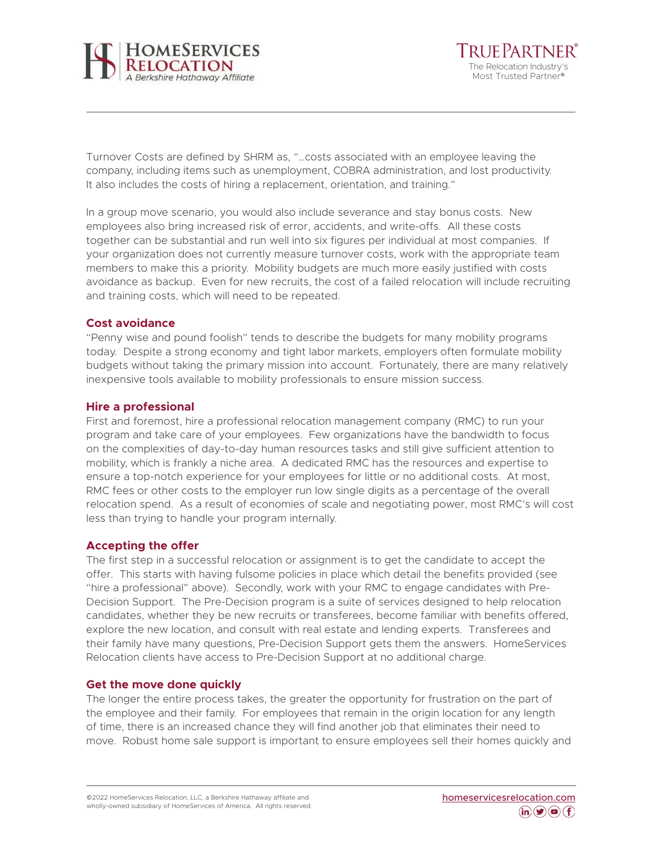

Tri if Partner® The Relocation Industry's Most Trusted Partner®

Turnover Costs are defined by SHRM as, "…costs associated with an employee leaving the company, including items such as unemployment, COBRA administration, and lost productivity. It also includes the costs of hiring a replacement, orientation, and training."

In a group move scenario, you would also include severance and stay bonus costs. New employees also bring increased risk of error, accidents, and write-offs. All these costs together can be substantial and run well into six figures per individual at most companies. If your organization does not currently measure turnover costs, work with the appropriate team members to make this a priority. Mobility budgets are much more easily justified with costs avoidance as backup. Even for new recruits, the cost of a failed relocation will include recruiting and training costs, which will need to be repeated.

### **Cost avoidance**

"Penny wise and pound foolish" tends to describe the budgets for many mobility programs today. Despite a strong economy and tight labor markets, employers often formulate mobility budgets without taking the primary mission into account. Fortunately, there are many relatively inexpensive tools available to mobility professionals to ensure mission success.

### **Hire a professional**

First and foremost, hire a professional relocation management company (RMC) to run your program and take care of your employees. Few organizations have the bandwidth to focus on the complexities of day-to-day human resources tasks and still give sufficient attention to mobility, which is frankly a niche area. A dedicated RMC has the resources and expertise to ensure a top-notch experience for your employees for little or no additional costs. At most, RMC fees or other costs to the employer run low single digits as a percentage of the overall relocation spend. As a result of economies of scale and negotiating power, most RMC's will cost less than trying to handle your program internally.

# **Accepting the offer**

The first step in a successful relocation or assignment is to get the candidate to accept the offer. This starts with having fulsome policies in place which detail the benefits provided (see "hire a professional" above). Secondly, work with your RMC to engage candidates with Pre-Decision Support. The Pre-Decision program is a suite of services designed to help relocation candidates, whether they be new recruits or transferees, become familiar with benefits offered, explore the new location, and consult with real estate and lending experts. Transferees and their family have many questions, Pre-Decision Support gets them the answers. HomeServices Relocation clients have access to Pre-Decision Support at no additional charge.

#### **Get the move done quickly**

The longer the entire process takes, the greater the opportunity for frustration on the part of the employee and their family. For employees that remain in the origin location for any length of time, there is an increased chance they will find another job that eliminates their need to move. Robust home sale support is important to ensure employees sell their homes quickly and